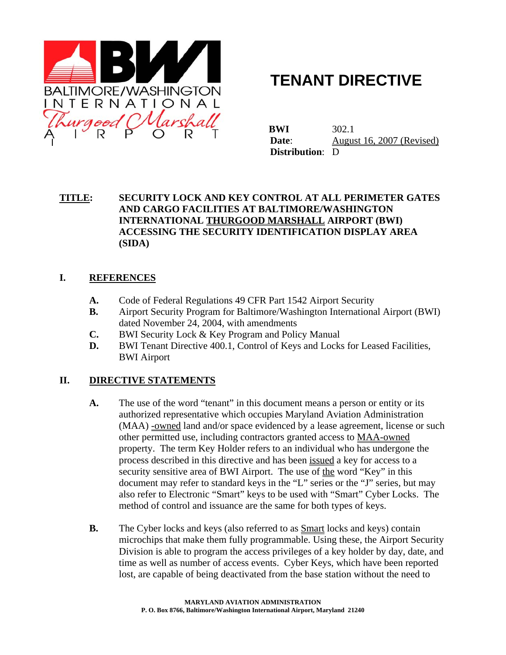

# **TENANT DIRECTIVE**

 **BWI** 302.1 **Date:** August 16, 2007 (Revised)  **Distribution**: D

#### **TITLE: SECURITY LOCK AND KEY CONTROL AT ALL PERIMETER GATES AND CARGO FACILITIES AT BALTIMORE/WASHINGTON INTERNATIONAL THURGOOD MARSHALL AIRPORT (BWI) ACCESSING THE SECURITY IDENTIFICATION DISPLAY AREA (SIDA)**

#### **I. REFERENCES**

- **A.** Code of Federal Regulations 49 CFR Part 1542 Airport Security
- **B.** Airport Security Program for Baltimore/Washington International Airport (BWI) dated November 24, 2004, with amendments
- **C.** BWI Security Lock & Key Program and Policy Manual
- **D.** BWI Tenant Directive 400.1, Control of Keys and Locks for Leased Facilities, BWI Airport

#### **II. DIRECTIVE STATEMENTS**

- **A.** The use of the word "tenant" in this document means a person or entity or its authorized representative which occupies Maryland Aviation Administration (MAA) -owned land and/or space evidenced by a lease agreement, license or such other permitted use, including contractors granted access to MAA-owned property. The term Key Holder refers to an individual who has undergone the process described in this directive and has been issued a key for access to a security sensitive area of BWI Airport. The use of the word "Key" in this document may refer to standard keys in the "L" series or the "J" series, but may also refer to Electronic "Smart" keys to be used with "Smart" Cyber Locks. The method of control and issuance are the same for both types of keys.
- **B.** The Cyber locks and keys (also referred to as **Smart** locks and keys) contain microchips that make them fully programmable. Using these, the Airport Security Division is able to program the access privileges of a key holder by day, date, and time as well as number of access events. Cyber Keys, which have been reported lost, are capable of being deactivated from the base station without the need to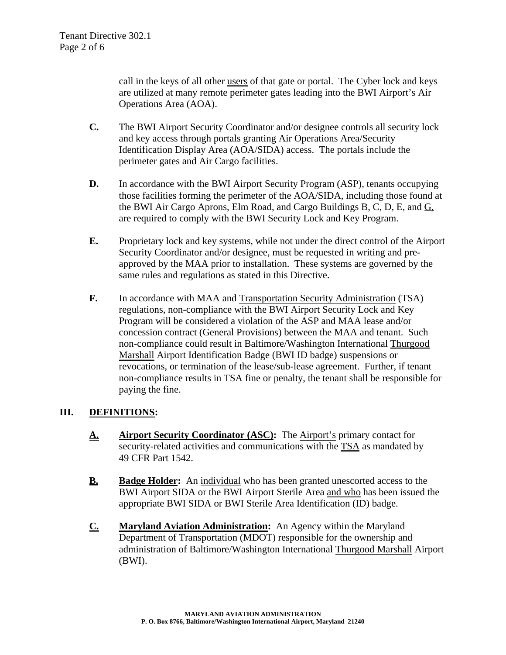call in the keys of all other users of that gate or portal. The Cyber lock and keys are utilized at many remote perimeter gates leading into the BWI Airport's Air Operations Area (AOA).

- **C.** The BWI Airport Security Coordinator and/or designee controls all security lock and key access through portals granting Air Operations Area/Security Identification Display Area (AOA/SIDA) access. The portals include the perimeter gates and Air Cargo facilities.
- **D.** In accordance with the BWI Airport Security Program (ASP), tenants occupying those facilities forming the perimeter of the AOA/SIDA, including those found at the BWI Air Cargo Aprons, Elm Road, and Cargo Buildings B, C, D, E, and G, are required to comply with the BWI Security Lock and Key Program.
- **E.** Proprietary lock and key systems, while not under the direct control of the Airport Security Coordinator and/or designee, must be requested in writing and preapproved by the MAA prior to installation. These systems are governed by the same rules and regulations as stated in this Directive.
- **F.** In accordance with MAA and Transportation Security Administration (TSA) regulations, non-compliance with the BWI Airport Security Lock and Key Program will be considered a violation of the ASP and MAA lease and/or concession contract (General Provisions) between the MAA and tenant. Such non-compliance could result in Baltimore/Washington International Thurgood Marshall Airport Identification Badge (BWI ID badge) suspensions or revocations, or termination of the lease/sub-lease agreement. Further, if tenant non-compliance results in TSA fine or penalty, the tenant shall be responsible for paying the fine.

#### **III. DEFINITIONS:**

- **A. Airport Security Coordinator (ASC):** The **Airport's** primary contact for security-related activities and communications with the TSA as mandated by 49 CFR Part 1542.
- **B. Badge Holder:** An individual who has been granted unescorted access to the BWI Airport SIDA or the BWI Airport Sterile Area and who has been issued the appropriate BWI SIDA or BWI Sterile Area Identification (ID) badge.
- **C. Maryland Aviation Administration:** An Agency within the Maryland Department of Transportation (MDOT) responsible for the ownership and administration of Baltimore/Washington International Thurgood Marshall Airport (BWI).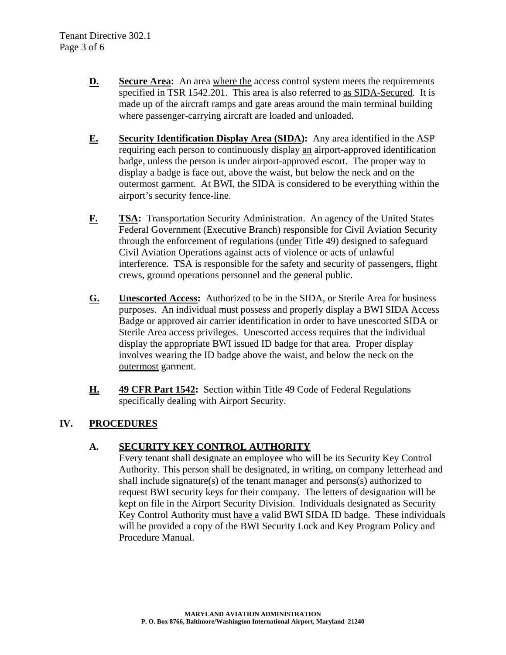- **D. Secure Area:** An area where the access control system meets the requirements specified in TSR 1542.201. This area is also referred to as SIDA-Secured. It is made up of the aircraft ramps and gate areas around the main terminal building where passenger-carrying aircraft are loaded and unloaded.
- **E. Security Identification Display Area (SIDA):** Any area identified in the ASP requiring each person to continuously display an airport-approved identification badge, unless the person is under airport-approved escort. The proper way to display a badge is face out, above the waist, but below the neck and on the outermost garment. At BWI, the SIDA is considered to be everything within the airport's security fence-line.
- **F. TSA:** Transportation Security Administration. An agency of the United States Federal Government (Executive Branch) responsible for Civil Aviation Security through the enforcement of regulations (under Title 49) designed to safeguard Civil Aviation Operations against acts of violence or acts of unlawful interference. TSA is responsible for the safety and security of passengers, flight crews, ground operations personnel and the general public.
- **G. Unescorted Access:** Authorized to be in the SIDA, or Sterile Area for business purposes. An individual must possess and properly display a BWI SIDA Access Badge or approved air carrier identification in order to have unescorted SIDA or Sterile Area access privileges. Unescorted access requires that the individual display the appropriate BWI issued ID badge for that area. Proper display involves wearing the ID badge above the waist, and below the neck on the outermost garment.
- **H. 49 CFR Part 1542:** Section within Title 49 Code of Federal Regulations specifically dealing with Airport Security.

# **IV. PROCEDURES**

#### **A. SECURITY KEY CONTROL AUTHORITY**

Every tenant shall designate an employee who will be its Security Key Control Authority. This person shall be designated, in writing, on company letterhead and shall include signature(s) of the tenant manager and persons(s) authorized to request BWI security keys for their company. The letters of designation will be kept on file in the Airport Security Division. Individuals designated as Security Key Control Authority must have a valid BWI SIDA ID badge. These individuals will be provided a copy of the BWI Security Lock and Key Program Policy and Procedure Manual.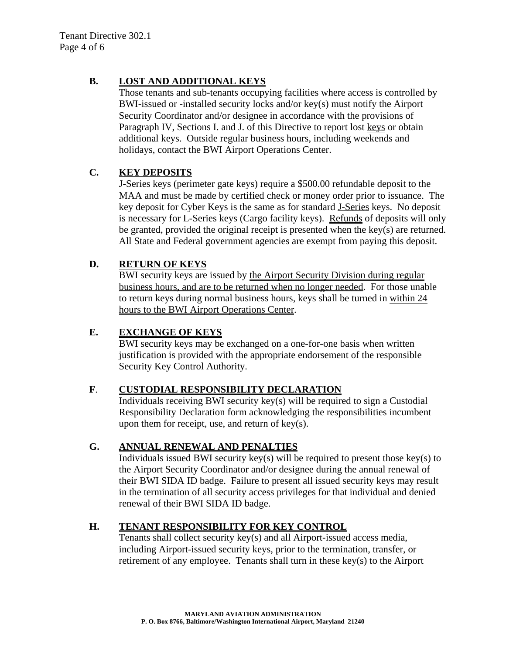## **B. LOST AND ADDITIONAL KEYS**

Those tenants and sub-tenants occupying facilities where access is controlled by BWI-issued or -installed security locks and/or key(s) must notify the Airport Security Coordinator and/or designee in accordance with the provisions of Paragraph IV, Sections I. and J. of this Directive to report lost keys or obtain additional keys. Outside regular business hours, including weekends and holidays, contact the BWI Airport Operations Center.

# **C. KEY DEPOSITS**

J-Series keys (perimeter gate keys) require a \$500.00 refundable deposit to the MAA and must be made by certified check or money order prior to issuance. The key deposit for Cyber Keys is the same as for standard J-Series keys. No deposit is necessary for L-Series keys (Cargo facility keys). Refunds of deposits will only be granted, provided the original receipt is presented when the key(s) are returned. All State and Federal government agencies are exempt from paying this deposit.

# **D. RETURN OF KEYS**

BWI security keys are issued by the Airport Security Division during regular business hours, and are to be returned when no longer needed. For those unable to return keys during normal business hours, keys shall be turned in within 24 hours to the BWI Airport Operations Center.

## **E. EXCHANGE OF KEYS**

BWI security keys may be exchanged on a one-for-one basis when written justification is provided with the appropriate endorsement of the responsible Security Key Control Authority.

#### **F**. **CUSTODIAL RESPONSIBILITY DECLARATION**

Individuals receiving BWI security key(s) will be required to sign a Custodial Responsibility Declaration form acknowledging the responsibilities incumbent upon them for receipt, use, and return of key(s).

#### **G. ANNUAL RENEWAL AND PENALTIES**

Individuals issued BWI security key(s) will be required to present those key(s) to the Airport Security Coordinator and/or designee during the annual renewal of their BWI SIDA ID badge. Failure to present all issued security keys may result in the termination of all security access privileges for that individual and denied renewal of their BWI SIDA ID badge.

# **H. TENANT RESPONSIBILITY FOR KEY CONTROL**

Tenants shall collect security key(s) and all Airport-issued access media, including Airport-issued security keys, prior to the termination, transfer, or retirement of any employee. Tenants shall turn in these key(s) to the Airport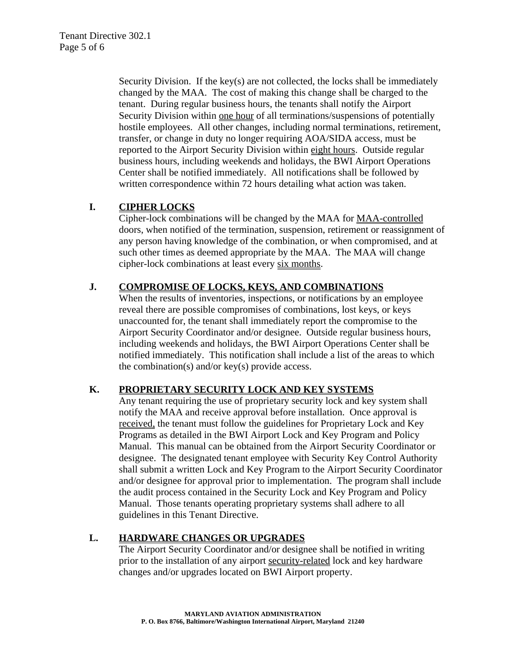Security Division. If the key(s) are not collected, the locks shall be immediately changed by the MAA.The cost of making this change shall be charged to the tenant. During regular business hours, the tenants shall notify the Airport Security Division within one hour of all terminations/suspensions of potentially hostile employees. All other changes, including normal terminations, retirement, transfer, or change in duty no longer requiring AOA/SIDA access, must be reported to the Airport Security Division within eight hours. Outside regular business hours, including weekends and holidays, the BWI Airport Operations Center shall be notified immediately. All notifications shall be followed by written correspondence within 72 hours detailing what action was taken.

#### **I. CIPHER LOCKS**

Cipher-lock combinations will be changed by the MAA for MAA-controlled doors, when notified of the termination, suspension, retirement or reassignment of any person having knowledge of the combination, or when compromised, and at such other times as deemed appropriate by the MAA. The MAA will change cipher-lock combinations at least every six months.

## **J. COMPROMISE OF LOCKS, KEYS, AND COMBINATIONS**

When the results of inventories, inspections, or notifications by an employee reveal there are possible compromises of combinations, lost keys, or keys unaccounted for, the tenant shall immediately report the compromise to the Airport Security Coordinator and/or designee. Outside regular business hours, including weekends and holidays, the BWI Airport Operations Center shall be notified immediately. This notification shall include a list of the areas to which the combination(s) and/or key(s) provide access.

#### **K. PROPRIETARY SECURITY LOCK AND KEY SYSTEMS**

Any tenant requiring the use of proprietary security lock and key system shall notify the MAA and receive approval before installation. Once approval is received, the tenant must follow the guidelines for Proprietary Lock and Key Programs as detailed in the BWI Airport Lock and Key Program and Policy Manual. This manual can be obtained from the Airport Security Coordinator or designee. The designated tenant employee with Security Key Control Authority shall submit a written Lock and Key Program to the Airport Security Coordinator and/or designee for approval prior to implementation. The program shall include the audit process contained in the Security Lock and Key Program and Policy Manual. Those tenants operating proprietary systems shall adhere to all guidelines in this Tenant Directive.

#### **L. HARDWARE CHANGES OR UPGRADES**

The Airport Security Coordinator and/or designee shall be notified in writing prior to the installation of any airport security-related lock and key hardware changes and/or upgrades located on BWI Airport property.